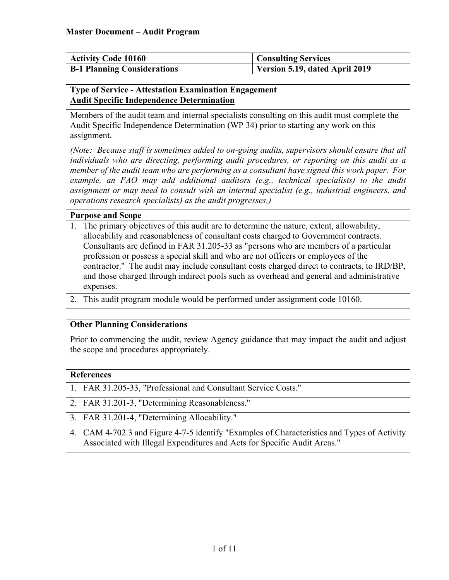| <b>Activity Code 10160</b>         | <b>Consulting Services</b>     |
|------------------------------------|--------------------------------|
| <b>B-1 Planning Considerations</b> | Version 5.19, dated April 2019 |

#### <span id="page-0-0"></span>**Type of Service - Attestation Examination Engagement Audit Specific Independence Determination**

Members of the audit team and internal specialists consulting on this audit must complete the Audit Specific Independence Determination (WP 34) prior to starting any work on this assignment.

*(Note: Because staff is sometimes added to on-going audits, supervisors should ensure that all individuals who are directing, performing audit procedures, or reporting on this audit as a member of the audit team who are performing as a consultant have signed this work paper. For example, an FAO may add additional auditors (e.g., technical specialists) to the audit assignment or may need to consult with an internal specialist (e.g., industrial engineers, and operations research specialists) as the audit progresses.)*

#### **Purpose and Scope**

- 1. The primary objectives of this audit are to determine the nature, extent, allowability, allocability and reasonableness of consultant costs charged to Government contracts. Consultants are defined in FAR 31.205-33 as "persons who are members of a particular profession or possess a special skill and who are not officers or employees of the contractor." The audit may include consultant costs charged direct to contracts, to IRD/BP, and those charged through indirect pools such as overhead and general and administrative expenses.
- 2. This audit program module would be performed under assignment code 10160.

### **Other Planning Considerations**

Prior to commencing the audit, review Agency guidance that may impact the audit and adjust the scope and procedures appropriately.

### **References**

- 1. FAR 31.205-33, "Professional and Consultant Service Costs."
- 2. FAR 31.201-3, "Determining Reasonableness."
- 3. FAR 31.201-4, "Determining Allocability."
- 4. CAM 4-702.3 and Figure 4-7-5 identify "Examples of Characteristics and Types of Activity Associated with Illegal Expenditures and Acts for Specific Audit Areas."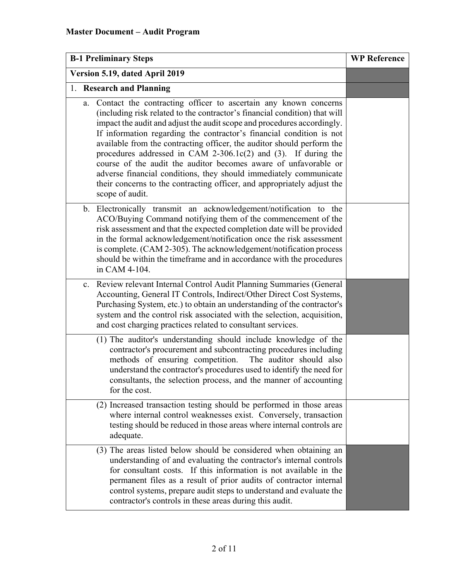| <b>B-1 Preliminary Steps</b>   |             | <b>WP Reference</b>                                                                                                                                                                                                                                                                                                                                                                                                                                                                                                                                                                                                                                                                   |  |
|--------------------------------|-------------|---------------------------------------------------------------------------------------------------------------------------------------------------------------------------------------------------------------------------------------------------------------------------------------------------------------------------------------------------------------------------------------------------------------------------------------------------------------------------------------------------------------------------------------------------------------------------------------------------------------------------------------------------------------------------------------|--|
| Version 5.19, dated April 2019 |             |                                                                                                                                                                                                                                                                                                                                                                                                                                                                                                                                                                                                                                                                                       |  |
|                                |             | 1. Research and Planning                                                                                                                                                                                                                                                                                                                                                                                                                                                                                                                                                                                                                                                              |  |
|                                | a.          | Contact the contracting officer to ascertain any known concerns<br>(including risk related to the contractor's financial condition) that will<br>impact the audit and adjust the audit scope and procedures accordingly.<br>If information regarding the contractor's financial condition is not<br>available from the contracting officer, the auditor should perform the<br>procedures addressed in CAM 2-306.1 $c(2)$ and (3). If during the<br>course of the audit the auditor becomes aware of unfavorable or<br>adverse financial conditions, they should immediately communicate<br>their concerns to the contracting officer, and appropriately adjust the<br>scope of audit. |  |
|                                |             | b. Electronically transmit an acknowledgement/notification to the<br>ACO/Buying Command notifying them of the commencement of the<br>risk assessment and that the expected completion date will be provided<br>in the formal acknowledgement/notification once the risk assessment<br>is complete. (CAM 2-305). The acknowledgement/notification process<br>should be within the timeframe and in accordance with the procedures<br>in CAM 4-104.                                                                                                                                                                                                                                     |  |
|                                | $c_{\cdot}$ | Review relevant Internal Control Audit Planning Summaries (General<br>Accounting, General IT Controls, Indirect/Other Direct Cost Systems,<br>Purchasing System, etc.) to obtain an understanding of the contractor's<br>system and the control risk associated with the selection, acquisition,<br>and cost charging practices related to consultant services.                                                                                                                                                                                                                                                                                                                       |  |
|                                |             | (1) The auditor's understanding should include knowledge of the<br>contractor's procurement and subcontracting procedures including<br>methods of ensuring competition.<br>The auditor should also<br>understand the contractor's procedures used to identify the need for<br>consultants, the selection process, and the manner of accounting<br>for the cost.                                                                                                                                                                                                                                                                                                                       |  |
|                                |             | (2) Increased transaction testing should be performed in those areas<br>where internal control weaknesses exist. Conversely, transaction<br>testing should be reduced in those areas where internal controls are<br>adequate.                                                                                                                                                                                                                                                                                                                                                                                                                                                         |  |
|                                |             | (3) The areas listed below should be considered when obtaining an<br>understanding of and evaluating the contractor's internal controls<br>for consultant costs. If this information is not available in the<br>permanent files as a result of prior audits of contractor internal<br>control systems, prepare audit steps to understand and evaluate the<br>contractor's controls in these areas during this audit.                                                                                                                                                                                                                                                                  |  |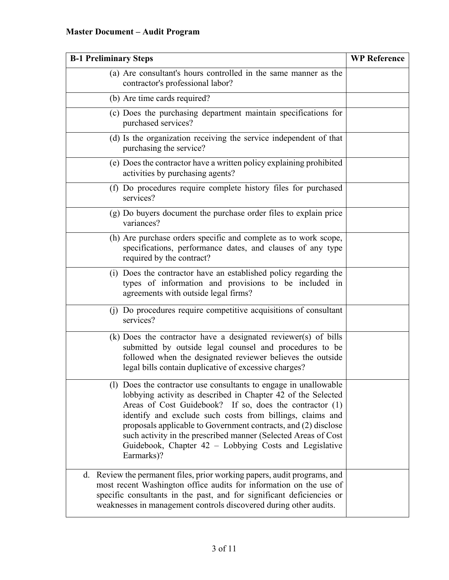# **Master Document – Audit Program**

| <b>B-1 Preliminary Steps</b>                                                                                                                                                                                                                                                                                                                                                                                                                                         | <b>WP Reference</b> |
|----------------------------------------------------------------------------------------------------------------------------------------------------------------------------------------------------------------------------------------------------------------------------------------------------------------------------------------------------------------------------------------------------------------------------------------------------------------------|---------------------|
| (a) Are consultant's hours controlled in the same manner as the<br>contractor's professional labor?                                                                                                                                                                                                                                                                                                                                                                  |                     |
| (b) Are time cards required?                                                                                                                                                                                                                                                                                                                                                                                                                                         |                     |
| (c) Does the purchasing department maintain specifications for<br>purchased services?                                                                                                                                                                                                                                                                                                                                                                                |                     |
| (d) Is the organization receiving the service independent of that<br>purchasing the service?                                                                                                                                                                                                                                                                                                                                                                         |                     |
| (e) Does the contractor have a written policy explaining prohibited<br>activities by purchasing agents?                                                                                                                                                                                                                                                                                                                                                              |                     |
| (f) Do procedures require complete history files for purchased<br>services?                                                                                                                                                                                                                                                                                                                                                                                          |                     |
| (g) Do buyers document the purchase order files to explain price<br>variances?                                                                                                                                                                                                                                                                                                                                                                                       |                     |
| (h) Are purchase orders specific and complete as to work scope,<br>specifications, performance dates, and clauses of any type<br>required by the contract?                                                                                                                                                                                                                                                                                                           |                     |
| (i) Does the contractor have an established policy regarding the<br>types of information and provisions to be included in<br>agreements with outside legal firms?                                                                                                                                                                                                                                                                                                    |                     |
| (j) Do procedures require competitive acquisitions of consultant<br>services?                                                                                                                                                                                                                                                                                                                                                                                        |                     |
| $(k)$ Does the contractor have a designated reviewer(s) of bills<br>submitted by outside legal counsel and procedures to be<br>followed when the designated reviewer believes the outside<br>legal bills contain duplicative of excessive charges?                                                                                                                                                                                                                   |                     |
| (l) Does the contractor use consultants to engage in unallowable<br>lobbying activity as described in Chapter 42 of the Selected<br>Areas of Cost Guidebook? If so, does the contractor (1)<br>identify and exclude such costs from billings, claims and<br>proposals applicable to Government contracts, and (2) disclose<br>such activity in the prescribed manner (Selected Areas of Cost<br>Guidebook, Chapter 42 - Lobbying Costs and Legislative<br>Earmarks)? |                     |
| Review the permanent files, prior working papers, audit programs, and<br>d.<br>most recent Washington office audits for information on the use of<br>specific consultants in the past, and for significant deficiencies or<br>weaknesses in management controls discovered during other audits.                                                                                                                                                                      |                     |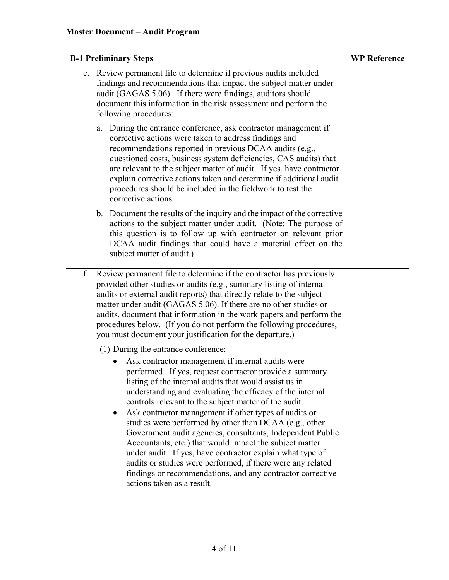| <b>B-1 Preliminary Steps</b> |                                                                                                                                                                                                                                                                                                                                                                                                                                                                                                                                                                                                                                                                                                                                                                                                         | <b>WP Reference</b> |
|------------------------------|---------------------------------------------------------------------------------------------------------------------------------------------------------------------------------------------------------------------------------------------------------------------------------------------------------------------------------------------------------------------------------------------------------------------------------------------------------------------------------------------------------------------------------------------------------------------------------------------------------------------------------------------------------------------------------------------------------------------------------------------------------------------------------------------------------|---------------------|
| e.                           | Review permanent file to determine if previous audits included<br>findings and recommendations that impact the subject matter under<br>audit (GAGAS 5.06). If there were findings, auditors should<br>document this information in the risk assessment and perform the<br>following procedures:                                                                                                                                                                                                                                                                                                                                                                                                                                                                                                         |                     |
|                              | During the entrance conference, ask contractor management if<br>a.<br>corrective actions were taken to address findings and<br>recommendations reported in previous DCAA audits (e.g.,<br>questioned costs, business system deficiencies, CAS audits) that<br>are relevant to the subject matter of audit. If yes, have contractor<br>explain corrective actions taken and determine if additional audit<br>procedures should be included in the fieldwork to test the<br>corrective actions.                                                                                                                                                                                                                                                                                                           |                     |
|                              | b. Document the results of the inquiry and the impact of the corrective<br>actions to the subject matter under audit. (Note: The purpose of<br>this question is to follow up with contractor on relevant prior<br>DCAA audit findings that could have a material effect on the<br>subject matter of audit.)                                                                                                                                                                                                                                                                                                                                                                                                                                                                                             |                     |
| f.                           | Review permanent file to determine if the contractor has previously<br>provided other studies or audits (e.g., summary listing of internal<br>audits or external audit reports) that directly relate to the subject<br>matter under audit (GAGAS 5.06). If there are no other studies or<br>audits, document that information in the work papers and perform the<br>procedures below. (If you do not perform the following procedures,<br>you must document your justification for the departure.)                                                                                                                                                                                                                                                                                                      |                     |
|                              | (1) During the entrance conference:<br>Ask contractor management if internal audits were<br>performed. If yes, request contractor provide a summary<br>listing of the internal audits that would assist us in<br>understanding and evaluating the efficacy of the internal<br>controls relevant to the subject matter of the audit.<br>Ask contractor management if other types of audits or<br>studies were performed by other than DCAA (e.g., other<br>Government audit agencies, consultants, Independent Public<br>Accountants, etc.) that would impact the subject matter<br>under audit. If yes, have contractor explain what type of<br>audits or studies were performed, if there were any related<br>findings or recommendations, and any contractor corrective<br>actions taken as a result. |                     |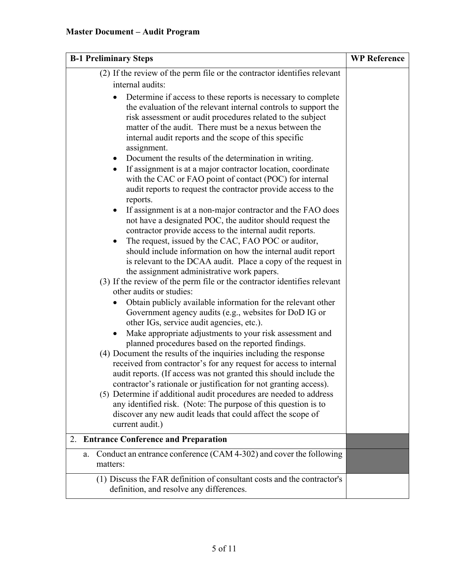| <b>B-1 Preliminary Steps</b>                                                                                                                                                                                                                                                                                                                                                                                                                                                                                                                                                                                                                                                                                                                                                                                                                                                                                                                             | <b>WP Reference</b> |
|----------------------------------------------------------------------------------------------------------------------------------------------------------------------------------------------------------------------------------------------------------------------------------------------------------------------------------------------------------------------------------------------------------------------------------------------------------------------------------------------------------------------------------------------------------------------------------------------------------------------------------------------------------------------------------------------------------------------------------------------------------------------------------------------------------------------------------------------------------------------------------------------------------------------------------------------------------|---------------------|
| (2) If the review of the perm file or the contractor identifies relevant<br>internal audits:                                                                                                                                                                                                                                                                                                                                                                                                                                                                                                                                                                                                                                                                                                                                                                                                                                                             |                     |
| Determine if access to these reports is necessary to complete<br>the evaluation of the relevant internal controls to support the<br>risk assessment or audit procedures related to the subject<br>matter of the audit. There must be a nexus between the<br>internal audit reports and the scope of this specific<br>assignment.<br>Document the results of the determination in writing.<br>If assignment is at a major contractor location, coordinate<br>$\bullet$<br>with the CAC or FAO point of contact (POC) for internal<br>audit reports to request the contractor provide access to the<br>reports.<br>If assignment is at a non-major contractor and the FAO does<br>not have a designated POC, the auditor should request the<br>contractor provide access to the internal audit reports.<br>The request, issued by the CAC, FAO POC or auditor,                                                                                             |                     |
| should include information on how the internal audit report<br>is relevant to the DCAA audit. Place a copy of the request in                                                                                                                                                                                                                                                                                                                                                                                                                                                                                                                                                                                                                                                                                                                                                                                                                             |                     |
| the assignment administrative work papers.<br>(3) If the review of the perm file or the contractor identifies relevant<br>other audits or studies:<br>Obtain publicly available information for the relevant other<br>Government agency audits (e.g., websites for DoD IG or<br>other IGs, service audit agencies, etc.).<br>Make appropriate adjustments to your risk assessment and<br>planned procedures based on the reported findings.<br>(4) Document the results of the inquiries including the response<br>received from contractor's for any request for access to internal<br>audit reports. (If access was not granted this should include the<br>contractor's rationale or justification for not granting access).<br>(5) Determine if additional audit procedures are needed to address<br>any identified risk. (Note: The purpose of this question is to<br>discover any new audit leads that could affect the scope of<br>current audit.) |                     |
| 2. Entrance Conference and Preparation                                                                                                                                                                                                                                                                                                                                                                                                                                                                                                                                                                                                                                                                                                                                                                                                                                                                                                                   |                     |
| Conduct an entrance conference (CAM 4-302) and cover the following<br>a.<br>matters:                                                                                                                                                                                                                                                                                                                                                                                                                                                                                                                                                                                                                                                                                                                                                                                                                                                                     |                     |
| (1) Discuss the FAR definition of consultant costs and the contractor's<br>definition, and resolve any differences.                                                                                                                                                                                                                                                                                                                                                                                                                                                                                                                                                                                                                                                                                                                                                                                                                                      |                     |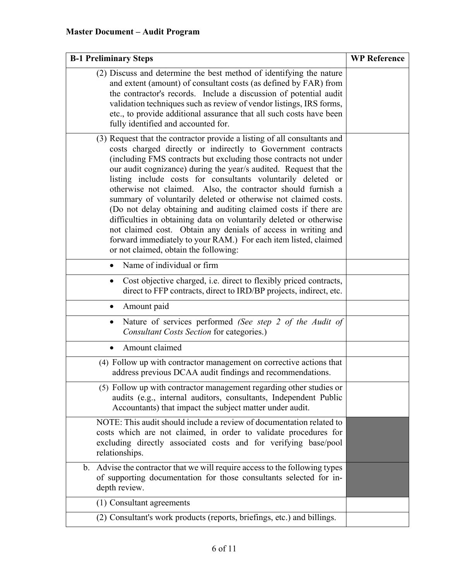| <b>B-1 Preliminary Steps</b>                                                                                                                                                                                                                                                                                                                                                                                                                                                                                                                                                                                                                                                                                                                                                                              | <b>WP Reference</b> |
|-----------------------------------------------------------------------------------------------------------------------------------------------------------------------------------------------------------------------------------------------------------------------------------------------------------------------------------------------------------------------------------------------------------------------------------------------------------------------------------------------------------------------------------------------------------------------------------------------------------------------------------------------------------------------------------------------------------------------------------------------------------------------------------------------------------|---------------------|
| (2) Discuss and determine the best method of identifying the nature<br>and extent (amount) of consultant costs (as defined by FAR) from<br>the contractor's records. Include a discussion of potential audit<br>validation techniques such as review of vendor listings, IRS forms,<br>etc., to provide additional assurance that all such costs have been<br>fully identified and accounted for.                                                                                                                                                                                                                                                                                                                                                                                                         |                     |
| (3) Request that the contractor provide a listing of all consultants and<br>costs charged directly or indirectly to Government contracts<br>(including FMS contracts but excluding those contracts not under<br>our audit cognizance) during the year/s audited. Request that the<br>listing include costs for consultants voluntarily deleted or<br>otherwise not claimed. Also, the contractor should furnish a<br>summary of voluntarily deleted or otherwise not claimed costs.<br>(Do not delay obtaining and auditing claimed costs if there are<br>difficulties in obtaining data on voluntarily deleted or otherwise<br>not claimed cost. Obtain any denials of access in writing and<br>forward immediately to your RAM.) For each item listed, claimed<br>or not claimed, obtain the following: |                     |
| Name of individual or firm<br>$\bullet$                                                                                                                                                                                                                                                                                                                                                                                                                                                                                                                                                                                                                                                                                                                                                                   |                     |
| Cost objective charged, i.e. direct to flexibly priced contracts,<br>٠<br>direct to FFP contracts, direct to IRD/BP projects, indirect, etc.                                                                                                                                                                                                                                                                                                                                                                                                                                                                                                                                                                                                                                                              |                     |
| Amount paid                                                                                                                                                                                                                                                                                                                                                                                                                                                                                                                                                                                                                                                                                                                                                                                               |                     |
| Nature of services performed (See step 2 of the Audit of<br>$\bullet$<br><b>Consultant Costs Section for categories.)</b>                                                                                                                                                                                                                                                                                                                                                                                                                                                                                                                                                                                                                                                                                 |                     |
| Amount claimed                                                                                                                                                                                                                                                                                                                                                                                                                                                                                                                                                                                                                                                                                                                                                                                            |                     |
| (4) Follow up with contractor management on corrective actions that<br>address previous DCAA audit findings and recommendations.                                                                                                                                                                                                                                                                                                                                                                                                                                                                                                                                                                                                                                                                          |                     |
| (5) Follow up with contractor management regarding other studies or<br>audits (e.g., internal auditors, consultants, Independent Public<br>Accountants) that impact the subject matter under audit.                                                                                                                                                                                                                                                                                                                                                                                                                                                                                                                                                                                                       |                     |
| NOTE: This audit should include a review of documentation related to<br>costs which are not claimed, in order to validate procedures for<br>excluding directly associated costs and for verifying base/pool<br>relationships.                                                                                                                                                                                                                                                                                                                                                                                                                                                                                                                                                                             |                     |
| b. Advise the contractor that we will require access to the following types<br>of supporting documentation for those consultants selected for in-<br>depth review.                                                                                                                                                                                                                                                                                                                                                                                                                                                                                                                                                                                                                                        |                     |
| (1) Consultant agreements                                                                                                                                                                                                                                                                                                                                                                                                                                                                                                                                                                                                                                                                                                                                                                                 |                     |
| (2) Consultant's work products (reports, briefings, etc.) and billings.                                                                                                                                                                                                                                                                                                                                                                                                                                                                                                                                                                                                                                                                                                                                   |                     |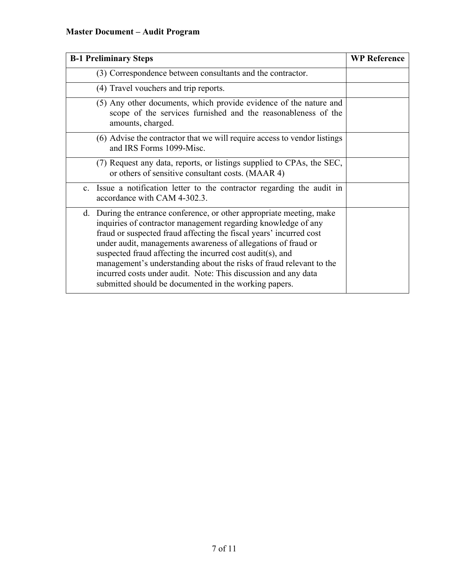# **Master Document – Audit Program**

| <b>B-1 Preliminary Steps</b>                                                                                                                                                                                                                                                                                                                                                                                                                                                                                                                    | <b>WP Reference</b> |
|-------------------------------------------------------------------------------------------------------------------------------------------------------------------------------------------------------------------------------------------------------------------------------------------------------------------------------------------------------------------------------------------------------------------------------------------------------------------------------------------------------------------------------------------------|---------------------|
| (3) Correspondence between consultants and the contractor.                                                                                                                                                                                                                                                                                                                                                                                                                                                                                      |                     |
| (4) Travel vouchers and trip reports.                                                                                                                                                                                                                                                                                                                                                                                                                                                                                                           |                     |
| (5) Any other documents, which provide evidence of the nature and<br>scope of the services furnished and the reasonableness of the<br>amounts, charged.                                                                                                                                                                                                                                                                                                                                                                                         |                     |
| (6) Advise the contractor that we will require access to vendor listings<br>and IRS Forms 1099-Misc.                                                                                                                                                                                                                                                                                                                                                                                                                                            |                     |
| (7) Request any data, reports, or listings supplied to CPAs, the SEC,<br>or others of sensitive consultant costs. (MAAR 4)                                                                                                                                                                                                                                                                                                                                                                                                                      |                     |
| Issue a notification letter to the contractor regarding the audit in<br>$\mathbf{c}$ .<br>accordance with CAM 4-302.3.                                                                                                                                                                                                                                                                                                                                                                                                                          |                     |
| During the entrance conference, or other appropriate meeting, make<br>d.<br>inquiries of contractor management regarding knowledge of any<br>fraud or suspected fraud affecting the fiscal years' incurred cost<br>under audit, managements awareness of allegations of fraud or<br>suspected fraud affecting the incurred cost audit(s), and<br>management's understanding about the risks of fraud relevant to the<br>incurred costs under audit. Note: This discussion and any data<br>submitted should be documented in the working papers. |                     |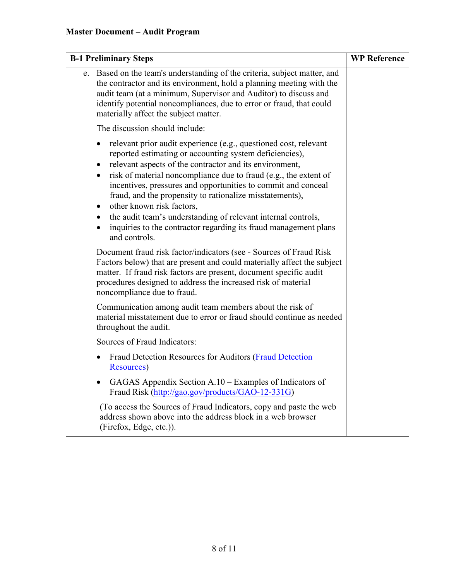| <b>B-1 Preliminary Steps</b>                                                                                                                                                                                                                                                                                                                                                                                                                                                                                                                                                                                        | <b>WP Reference</b> |
|---------------------------------------------------------------------------------------------------------------------------------------------------------------------------------------------------------------------------------------------------------------------------------------------------------------------------------------------------------------------------------------------------------------------------------------------------------------------------------------------------------------------------------------------------------------------------------------------------------------------|---------------------|
| e. Based on the team's understanding of the criteria, subject matter, and<br>the contractor and its environment, hold a planning meeting with the<br>audit team (at a minimum, Supervisor and Auditor) to discuss and<br>identify potential noncompliances, due to error or fraud, that could<br>materially affect the subject matter.                                                                                                                                                                                                                                                                              |                     |
| The discussion should include:                                                                                                                                                                                                                                                                                                                                                                                                                                                                                                                                                                                      |                     |
| relevant prior audit experience (e.g., questioned cost, relevant<br>reported estimating or accounting system deficiencies),<br>relevant aspects of the contractor and its environment,<br>$\bullet$<br>risk of material noncompliance due to fraud (e.g., the extent of<br>incentives, pressures and opportunities to commit and conceal<br>fraud, and the propensity to rationalize misstatements),<br>other known risk factors,<br>$\bullet$<br>• the audit team's understanding of relevant internal controls,<br>inquiries to the contractor regarding its fraud management plans<br>$\bullet$<br>and controls. |                     |
| Document fraud risk factor/indicators (see - Sources of Fraud Risk<br>Factors below) that are present and could materially affect the subject<br>matter. If fraud risk factors are present, document specific audit<br>procedures designed to address the increased risk of material<br>noncompliance due to fraud.                                                                                                                                                                                                                                                                                                 |                     |
| Communication among audit team members about the risk of<br>material misstatement due to error or fraud should continue as needed<br>throughout the audit.                                                                                                                                                                                                                                                                                                                                                                                                                                                          |                     |
| Sources of Fraud Indicators:                                                                                                                                                                                                                                                                                                                                                                                                                                                                                                                                                                                        |                     |
| Fraud Detection Resources for Auditors (Fraud Detection<br>Resources)                                                                                                                                                                                                                                                                                                                                                                                                                                                                                                                                               |                     |
| GAGAS Appendix Section A.10 - Examples of Indicators of<br>Fraud Risk (http://gao.gov/products/GAO-12-331G)                                                                                                                                                                                                                                                                                                                                                                                                                                                                                                         |                     |
| (To access the Sources of Fraud Indicators, copy and paste the web<br>address shown above into the address block in a web browser<br>(Firefox, Edge, etc.)).                                                                                                                                                                                                                                                                                                                                                                                                                                                        |                     |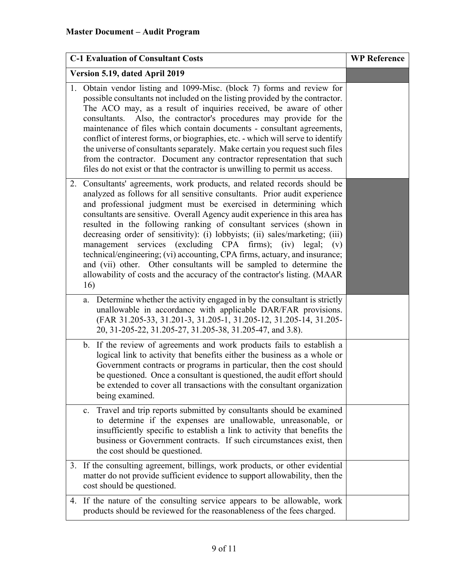|                                | <b>C-1 Evaluation of Consultant Costs</b>                                                                                                                                                                                                                                                                                                                                                                                                                                                                                                                                                                                                                                                                                                                                | <b>WP Reference</b> |
|--------------------------------|--------------------------------------------------------------------------------------------------------------------------------------------------------------------------------------------------------------------------------------------------------------------------------------------------------------------------------------------------------------------------------------------------------------------------------------------------------------------------------------------------------------------------------------------------------------------------------------------------------------------------------------------------------------------------------------------------------------------------------------------------------------------------|---------------------|
| Version 5.19, dated April 2019 |                                                                                                                                                                                                                                                                                                                                                                                                                                                                                                                                                                                                                                                                                                                                                                          |                     |
|                                | 1. Obtain vendor listing and 1099-Misc. (block 7) forms and review for<br>possible consultants not included on the listing provided by the contractor.<br>The ACO may, as a result of inquiries received, be aware of other<br>consultants. Also, the contractor's procedures may provide for the<br>maintenance of files which contain documents - consultant agreements,<br>conflict of interest forms, or biographies, etc. - which will serve to identify<br>the universe of consultants separately. Make certain you request such files<br>from the contractor. Document any contractor representation that such<br>files do not exist or that the contractor is unwilling to permit us access.                                                                     |                     |
|                                | 2. Consultants' agreements, work products, and related records should be<br>analyzed as follows for all sensitive consultants. Prior audit experience<br>and professional judgment must be exercised in determining which<br>consultants are sensitive. Overall Agency audit experience in this area has<br>resulted in the following ranking of consultant services (shown in<br>decreasing order of sensitivity): (i) lobbyists; (ii) sales/marketing; (iii)<br>management services (excluding CPA firms); (iv) legal;<br>(v)<br>technical/engineering; (vi) accounting, CPA firms, actuary, and insurance;<br>and (vii) other. Other consultants will be sampled to determine the<br>allowability of costs and the accuracy of the contractor's listing. (MAAR<br>16) |                     |
|                                | Determine whether the activity engaged in by the consultant is strictly<br>a.<br>unallowable in accordance with applicable DAR/FAR provisions.<br>(FAR 31.205-33, 31.201-3, 31.205-1, 31.205-12, 31.205-14, 31.205-<br>20, 31-205-22, 31.205-27, 31.205-38, 31.205-47, and 3.8).                                                                                                                                                                                                                                                                                                                                                                                                                                                                                         |                     |
|                                | If the review of agreements and work products fails to establish a<br>b.<br>logical link to activity that benefits either the business as a whole or<br>Government contracts or programs in particular, then the cost should<br>be questioned. Once a consultant is questioned, the audit effort should<br>be extended to cover all transactions with the consultant organization<br>being examined.                                                                                                                                                                                                                                                                                                                                                                     |                     |
|                                | Travel and trip reports submitted by consultants should be examined<br>c.<br>to determine if the expenses are unallowable, unreasonable, or<br>insufficiently specific to establish a link to activity that benefits the<br>business or Government contracts. If such circumstances exist, then<br>the cost should be questioned.                                                                                                                                                                                                                                                                                                                                                                                                                                        |                     |
| 3.                             | If the consulting agreement, billings, work products, or other evidential<br>matter do not provide sufficient evidence to support allowability, then the<br>cost should be questioned.                                                                                                                                                                                                                                                                                                                                                                                                                                                                                                                                                                                   |                     |
| 4.                             | If the nature of the consulting service appears to be allowable, work<br>products should be reviewed for the reasonableness of the fees charged.                                                                                                                                                                                                                                                                                                                                                                                                                                                                                                                                                                                                                         |                     |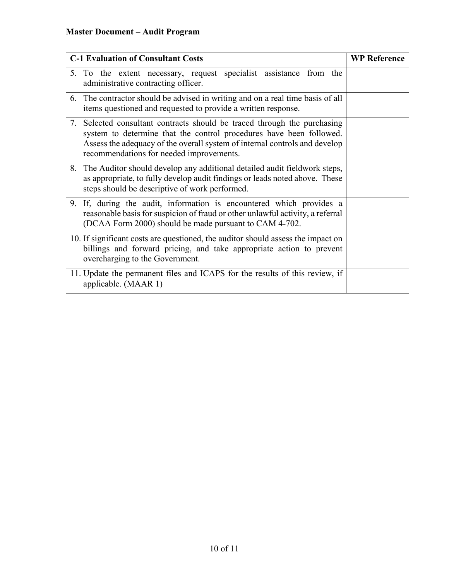| <b>C-1 Evaluation of Consultant Costs</b>                                                                                                                                                                                                                                 | <b>WP Reference</b> |
|---------------------------------------------------------------------------------------------------------------------------------------------------------------------------------------------------------------------------------------------------------------------------|---------------------|
| 5. To the extent necessary, request specialist assistance from the<br>administrative contracting officer.                                                                                                                                                                 |                     |
| 6. The contractor should be advised in writing and on a real time basis of all<br>items questioned and requested to provide a written response.                                                                                                                           |                     |
| 7. Selected consultant contracts should be traced through the purchasing<br>system to determine that the control procedures have been followed.<br>Assess the adequacy of the overall system of internal controls and develop<br>recommendations for needed improvements. |                     |
| 8. The Auditor should develop any additional detailed audit fieldwork steps,<br>as appropriate, to fully develop audit findings or leads noted above. These<br>steps should be descriptive of work performed.                                                             |                     |
| 9. If, during the audit, information is encountered which provides a<br>reasonable basis for suspicion of fraud or other unlawful activity, a referral<br>(DCAA Form 2000) should be made pursuant to CAM 4-702.                                                          |                     |
| 10. If significant costs are questioned, the auditor should assess the impact on<br>billings and forward pricing, and take appropriate action to prevent<br>overcharging to the Government.                                                                               |                     |
| 11. Update the permanent files and ICAPS for the results of this review, if<br>applicable. (MAAR 1)                                                                                                                                                                       |                     |